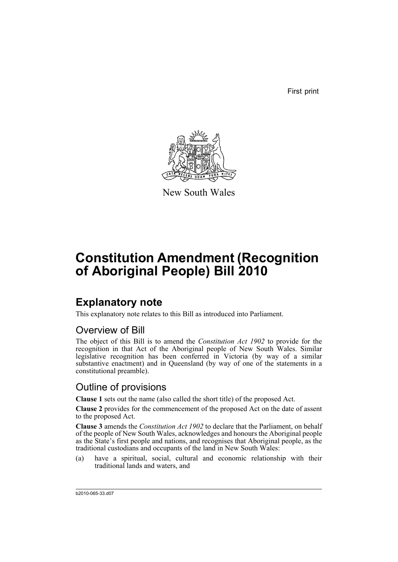First print



New South Wales

# **Constitution Amendment (Recognition of Aboriginal People) Bill 2010**

## **Explanatory note**

This explanatory note relates to this Bill as introduced into Parliament.

#### Overview of Bill

The object of this Bill is to amend the *Constitution Act 1902* to provide for the recognition in that Act of the Aboriginal people of New South Wales. Similar legislative recognition has been conferred in Victoria (by way of a similar substantive enactment) and in Queensland (by way of one of the statements in a constitutional preamble).

#### Outline of provisions

**Clause 1** sets out the name (also called the short title) of the proposed Act.

**Clause 2** provides for the commencement of the proposed Act on the date of assent to the proposed Act.

**Clause 3** amends the *Constitution Act 1902* to declare that the Parliament, on behalf of the people of New South Wales, acknowledges and honours the Aboriginal people as the State's first people and nations, and recognises that Aboriginal people, as the traditional custodians and occupants of the land in New South Wales:

(a) have a spiritual, social, cultural and economic relationship with their traditional lands and waters, and

b2010-065-33.d07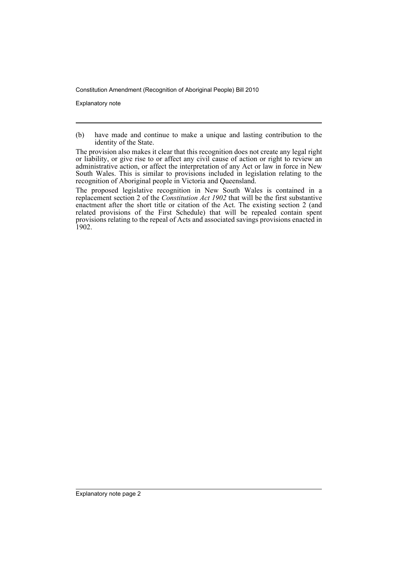Constitution Amendment (Recognition of Aboriginal People) Bill 2010

Explanatory note

The proposed legislative recognition in New South Wales is contained in a replacement section 2 of the *Constitution Act 1902* that will be the first substantive enactment after the short title or citation of the Act. The existing section 2 (and related provisions of the First Schedule) that will be repealed contain spent provisions relating to the repeal of Acts and associated savings provisions enacted in 1902.

<sup>(</sup>b) have made and continue to make a unique and lasting contribution to the identity of the State.

The provision also makes it clear that this recognition does not create any legal right or liability, or give rise to or affect any civil cause of action or right to review an administrative action, or affect the interpretation of any Act or law in force in New South Wales. This is similar to provisions included in legislation relating to the recognition of Aboriginal people in Victoria and Queensland.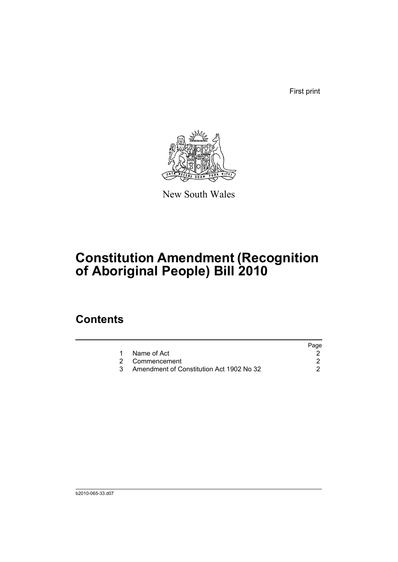First print



New South Wales

# **Constitution Amendment (Recognition of Aboriginal People) Bill 2010**

## **Contents**

|                                          | Page |
|------------------------------------------|------|
| Name of Act                              |      |
| 2 Commencement                           |      |
| Amendment of Constitution Act 1902 No 32 |      |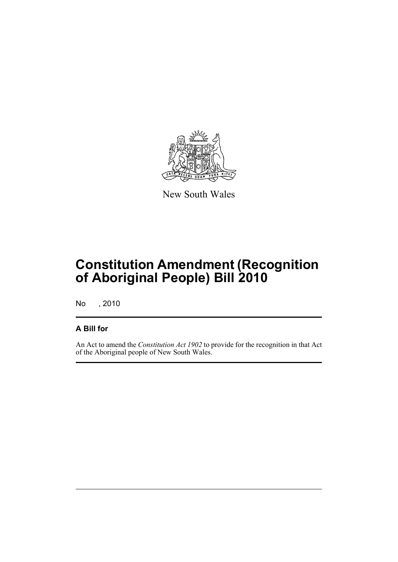

New South Wales

## **Constitution Amendment (Recognition of Aboriginal People) Bill 2010**

No , 2010

#### **A Bill for**

An Act to amend the *Constitution Act 1902* to provide for the recognition in that Act of the Aboriginal people of New South Wales.